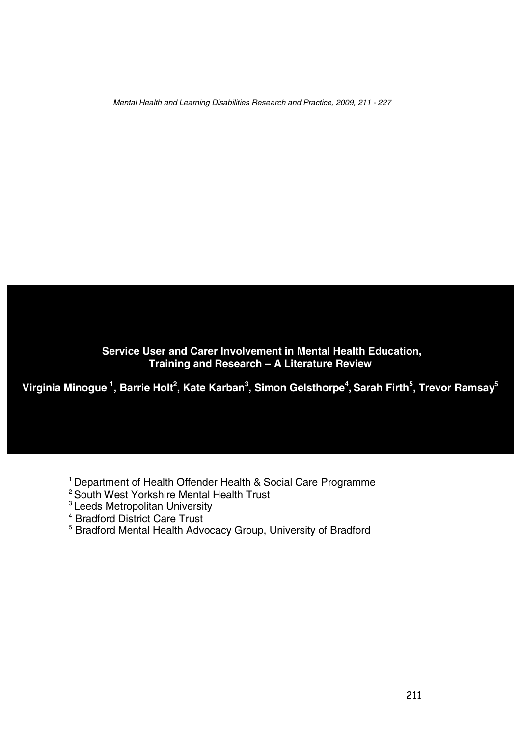Mental Health and Learning Disabilities Research and Practice, 2009, <sup>211</sup> - <sup>227</sup>

**Service User and Carer Involvement in Mental Health Education, Training and Research – A Literature Review**

**Virginia Minogue <sup>1</sup> , Barrie Holt 2 , Kate Karban<sup>3</sup> , Simon Gelsthorpe<sup>4</sup> , Sarah Firth<sup>5</sup> , Trevor Ramsay<sup>5</sup>**

<sup>1</sup> Department of Health Offender Health & Social Care Programme

- <sup>2</sup> South West Yorkshire Mental Health Trust
- <sup>3</sup> Leeds Metropolitan University
- <sup>4</sup> Bradford District Care Trust
- <sup>5</sup> Bradford Mental Health Advocacy Group, University of Bradford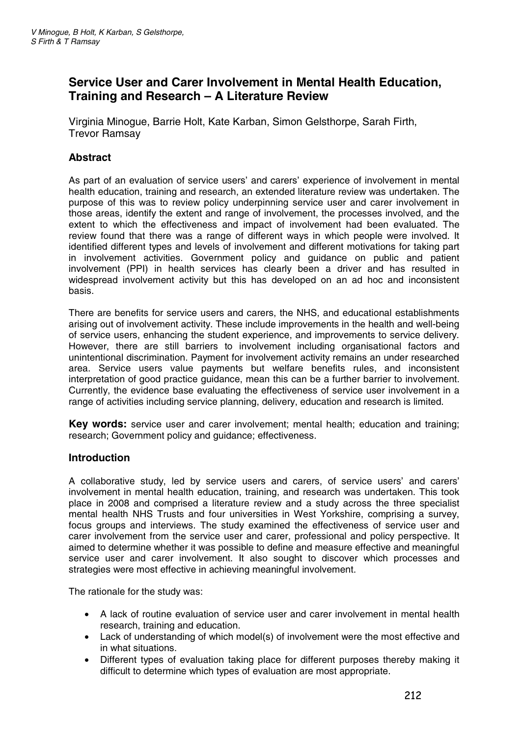# **Service User and Carer Involvement in Mental Health Education, Training and Research – A Literature Review**

Virginia Minogue, Barrie Holt, Kate Karban, Simon Gelsthorpe, Sarah Firth, Trevor Ramsay

### **Abstract**

As part of an evaluation of service users' and carers' experience of involvement in mental health education, training and research, an extended literature review was undertaken. The purpose of this was to review policy underpinning service user and carer involvement in those areas, identify the extent and range of involvement, the processes involved, and the extent to which the effectiveness and impact of involvement had been evaluated. The review found that there was a range of different ways in which people were involved. It identified different types and levels of involvement and different motivations for taking part in involvement activities. Government policy and guidance on public and patient involvement (PPI) in health services has clearly been a driver and has resulted in widespread involvement activity but this has developed on an ad hoc and inconsistent basis.

There are benefits for service users and carers, the NHS, and educational establishments arising out of involvement activity. These include improvements in the health and well-being of service users, enhancing the student experience, and improvements to service delivery. However, there are still barriers to involvement including organisational factors and unintentional discrimination. Payment for involvement activity remains an under researched area. Service users value payments but welfare benefits rules, and inconsistent interpretation of good practice guidance, mean this can be a further barrier to involvement. Currently, the evidence base evaluating the effectiveness of service user involvement in a range of activities including service planning, delivery, education and research is limited.

**Key words:** service user and carer involvement; mental health; education and training; research; Government policy and guidance; effectiveness.

#### **Introduction**

A collaborative study, led by service users and carers, of service users' and carers' involvement in mental health education, training, and research was undertaken. This took place in 2008 and comprised a literature review and a study across the three specialist mental health NHS Trusts and four universities in West Yorkshire, comprising a survey, focus groups and interviews. The study examined the effectiveness of service user and carer involvement from the service user and carer, professional and policy perspective. It aimed to determine whether it was possible to define and measure effective and meaningful service user and carer involvement. It also sought to discover which processes and strategies were most effective in achieving meaningful involvement.

The rationale for the study was:

- A lack of routine evaluation of service user and carer involvement in mental health research, training and education.
- Lack of understanding of which model(s) of involvement were the most effective and in what situations.
- Different types of evaluation taking place for different purposes thereby making it difficult to determine which types of evaluation are most appropriate.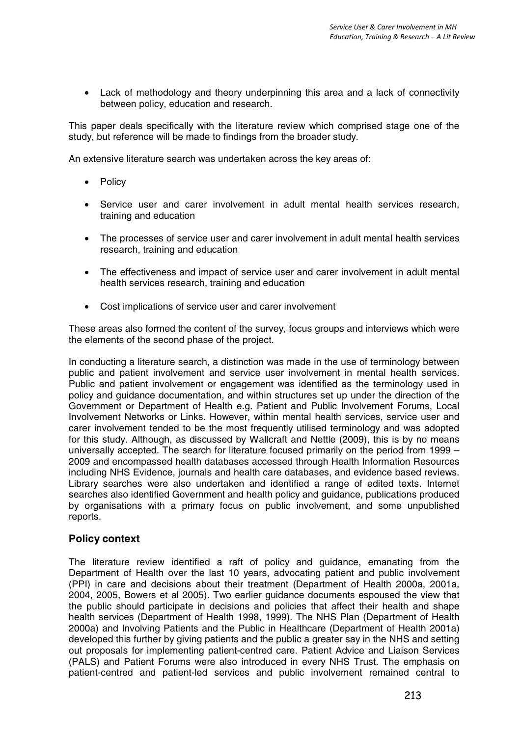• Lack of methodology and theory underpinning this area and a lack of connectivity between policy, education and research.

This paper deals specifically with the literature review which comprised stage one of the study, but reference will be made to findings from the broader study.

An extensive literature search was undertaken across the key areas of:

- Policy
- Service user and carer involvement in adult mental health services research, training and education
- The processes of service user and carer involvement in adult mental health services research, training and education
- The effectiveness and impact of service user and carer involvement in adult mental health services research, training and education
- Cost implications of service user and carer involvement

These areas also formed the content of the survey, focus groups and interviews which were the elements of the second phase of the project.

In conducting a literature search, a distinction was made in the use of terminology between public and patient involvement and service user involvement in mental health services. Public and patient involvement or engagement was identified as the terminology used in policy and guidance documentation, and within structures set up under the direction of the Government or Department of Health e.g. Patient and Public Involvement Forums, Local Involvement Networks or Links. However, within mental health services, service user and carer involvement tended to be the most frequently utilised terminology and was adopted for this study. Although, as discussed by Wallcraft and Nettle (2009), this is by no means universally accepted. The search for literature focused primarily on the period from 1999 – 2009 and encompassed health databases accessed through Health Information Resources including NHS Evidence, journals and health care databases, and evidence based reviews. Library searches were also undertaken and identified a range of edited texts. Internet searches also identified Government and health policy and guidance, publications produced by organisations with a primary focus on public involvement, and some unpublished reports.

#### **Policy context**

The literature review identified a raft of policy and guidance, emanating from the Department of Health over the last 10 years, advocating patient and public involvement (PPI) in care and decisions about their treatment (Department of Health 2000a, 2001a, 2004, 2005, Bowers et al 2005). Two earlier guidance documents espoused the view that the public should participate in decisions and policies that affect their health and shape health services (Department of Health 1998, 1999). The NHS Plan (Department of Health 2000a) and Involving Patients and the Public in Healthcare (Department of Health 2001a) developed this further by giving patients and the public a greater say in the NHS and setting out proposals for implementing patient-centred care. Patient Advice and Liaison Services (PALS) and Patient Forums were also introduced in every NHS Trust. The emphasis on patient-centred and patient-led services and public involvement remained central to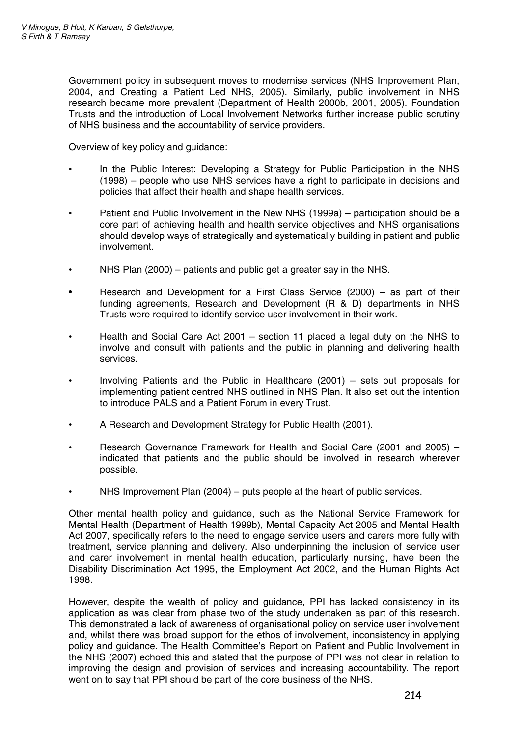Government policy in subsequent moves to modernise services (NHS Improvement Plan, 2004, and Creating a Patient Led NHS, 2005). Similarly, public involvement in NHS research became more prevalent (Department of Health 2000b, 2001, 2005). Foundation Trusts and the introduction of Local Involvement Networks further increase public scrutiny of NHS business and the accountability of service providers.

Overview of key policy and guidance:

- In the Public Interest: Developing a Strategy for Public Participation in the NHS (1998) – people who use NHS services have a right to participate in decisions and policies that affect their health and shape health services.
- Patient and Public Involvement in the New NHS (1999a) participation should be a core part of achieving health and health service objectives and NHS organisations should develop ways of strategically and systematically building in patient and public involvement.
- NHS Plan (2000) patients and public get a greater say in the NHS.
- Research and Development for a First Class Service (2000) as part of their funding agreements, Research and Development (R & D) departments in NHS Trusts were required to identify service user involvement in their work.
- Health and Social Care Act 2001 section 11 placed a legal duty on the NHS to involve and consult with patients and the public in planning and delivering health services.
- Involving Patients and the Public in Healthcare (2001) sets out proposals for implementing patient centred NHS outlined in NHS Plan. It also set out the intention to introduce PALS and a Patient Forum in every Trust.
- A Research and Development Strategy for Public Health (2001).
- Research Governance Framework for Health and Social Care (2001 and 2005) indicated that patients and the public should be involved in research wherever possible.
- NHS Improvement Plan (2004) puts people at the heart of public services.

Other mental health policy and guidance, such as the National Service Framework for Mental Health (Department of Health 1999b), Mental Capacity Act 2005 and Mental Health Act 2007, specifically refers to the need to engage service users and carers more fully with treatment, service planning and delivery. Also underpinning the inclusion of service user and carer involvement in mental health education, particularly nursing, have been the Disability Discrimination Act 1995, the Employment Act 2002, and the Human Rights Act 1998.

However, despite the wealth of policy and guidance, PPI has lacked consistency in its application as was clear from phase two of the study undertaken as part of this research. This demonstrated a lack of awareness of organisational policy on service user involvement and, whilst there was broad support for the ethos of involvement, inconsistency in applying policy and guidance. The Health Committee's Report on Patient and Public Involvement in the NHS (2007) echoed this and stated that the purpose of PPI was not clear in relation to improving the design and provision of services and increasing accountability. The report went on to say that PPI should be part of the core business of the NHS.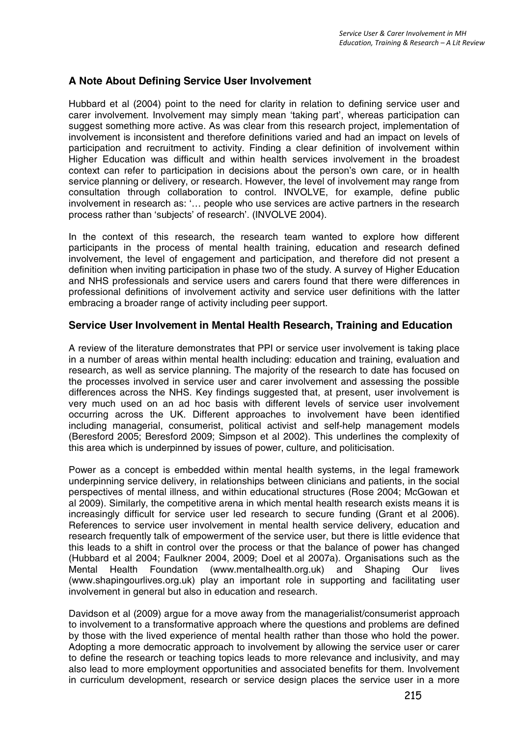# **A Note About Defining Service User Involvement**

Hubbard et al (2004) point to the need for clarity in relation to defining service user and carer involvement. Involvement may simply mean 'taking part', whereas participation can suggest something more active. As was clear from this research project, implementation of involvement is inconsistent and therefore definitions varied and had an impact on levels of participation and recruitment to activity. Finding a clear definition of involvement within Higher Education was difficult and within health services involvement in the broadest context can refer to participation in decisions about the person's own care, or in health service planning or delivery, or research. However, the level of involvement may range from consultation through collaboration to control. INVOLVE, for example, define public involvement in research as: '… people who use services are active partners in the research process rather than 'subjects' of research'. (INVOLVE 2004).

In the context of this research, the research team wanted to explore how different participants in the process of mental health training, education and research defined involvement, the level of engagement and participation, and therefore did not present a definition when inviting participation in phase two of the study. A survey of Higher Education and NHS professionals and service users and carers found that there were differences in professional definitions of involvement activity and service user definitions with the latter embracing a broader range of activity including peer support.

### **Service User Involvement in Mental Health Research, Training and Education**

A review of the literature demonstrates that PPI or service user involvement is taking place in a number of areas within mental health including: education and training, evaluation and research, as well as service planning. The majority of the research to date has focused on the processes involved in service user and carer involvement and assessing the possible differences across the NHS. Key findings suggested that, at present, user involvement is very much used on an ad hoc basis with different levels of service user involvement occurring across the UK. Different approaches to involvement have been identified including managerial, consumerist, political activist and self-help management models (Beresford 2005; Beresford 2009; Simpson et al 2002). This underlines the complexity of this area which is underpinned by issues of power, culture, and politicisation.

Power as a concept is embedded within mental health systems, in the legal framework underpinning service delivery, in relationships between clinicians and patients, in the social perspectives of mental illness, and within educational structures (Rose 2004; McGowan et al 2009). Similarly, the competitive arena in which mental health research exists means it is increasingly difficult for service user led research to secure funding (Grant et al 2006). References to service user involvement in mental health service delivery, education and research frequently talk of empowerment of the service user, but there is little evidence that this leads to a shift in control over the process or that the balance of power has changed (Hubbard et al 2004; Faulkner 2004, 2009; Doel et al 2007a). Organisations such as the Mental Health Foundation (www.mentalhealth.org.uk) and Shaping Our lives (www.shapingourlives.org.uk) play an important role in supporting and facilitating user involvement in general but also in education and research.

Davidson et al (2009) arque for a move away from the managerialist/consumerist approach to involvement to a transformative approach where the questions and problems are defined by those with the lived experience of mental health rather than those who hold the power. Adopting a more democratic approach to involvement by allowing the service user or carer to define the research or teaching topics leads to more relevance and inclusivity, and may also lead to more employment opportunities and associated benefits for them. Involvement in curriculum development, research or service design places the service user in a more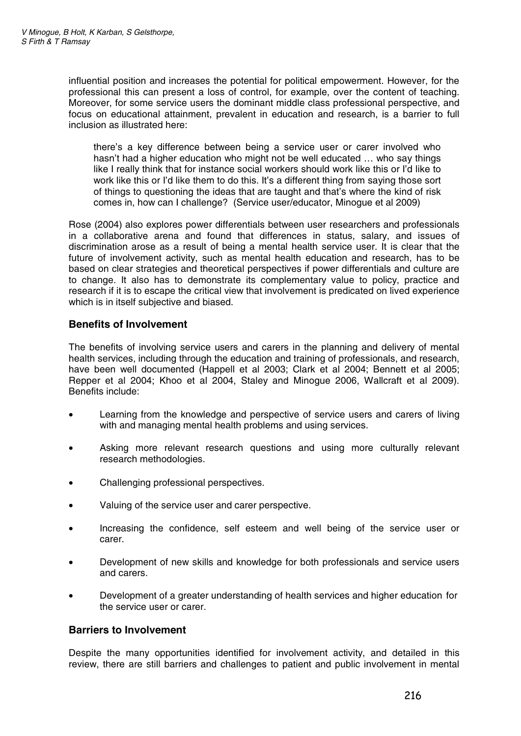influential position and increases the potential for political empowerment. However, for the professional this can present a loss of control, for example, over the content of teaching. Moreover, for some service users the dominant middle class professional perspective, and focus on educational attainment, prevalent in education and research, is a barrier to full inclusion as illustrated here:

there's a key difference between being a service user or carer involved who hasn't had a higher education who might not be well educated … who say things like I really think that for instance social workers should work like this or I'd like to work like this or I'd like them to do this. It's a different thing from saying those sort of things to questioning the ideas that are taught and that's where the kind of risk comes in, how can I challenge? (Service user/educator, Minogue et al 2009)

Rose (2004) also explores power differentials between user researchers and professionals in a collaborative arena and found that differences in status, salary, and issues of discrimination arose as a result of being a mental health service user. It is clear that the future of involvement activity, such as mental health education and research, has to be based on clear strategies and theoretical perspectives if power differentials and culture are to change. It also has to demonstrate its complementary value to policy, practice and research if it is to escape the critical view that involvement is predicated on lived experience which is in itself subjective and biased.

# **Benefits of Involvement**

The benefits of involving service users and carers in the planning and delivery of mental health services, including through the education and training of professionals, and research, have been well documented (Happell et al 2003; Clark et al 2004; Bennett et al 2005; Repper et al 2004; Khoo et al 2004, Staley and Minogue 2006, Wallcraft et al 2009). Benefits include:

- Learning from the knowledge and perspective of service users and carers of living with and managing mental health problems and using services.
- Asking more relevant research questions and using more culturally relevant research methodologies.
- Challenging professional perspectives.
- Valuing of the service user and carer perspective.
- Increasing the confidence, self esteem and well being of the service user or carer.
- Development of new skills and knowledge for both professionals and service users and carers.
- Development of a greater understanding of health services and higher education for the service user or carer.

### **Barriers to Involvement**

Despite the many opportunities identified for involvement activity, and detailed in this review, there are still barriers and challenges to patient and public involvement in mental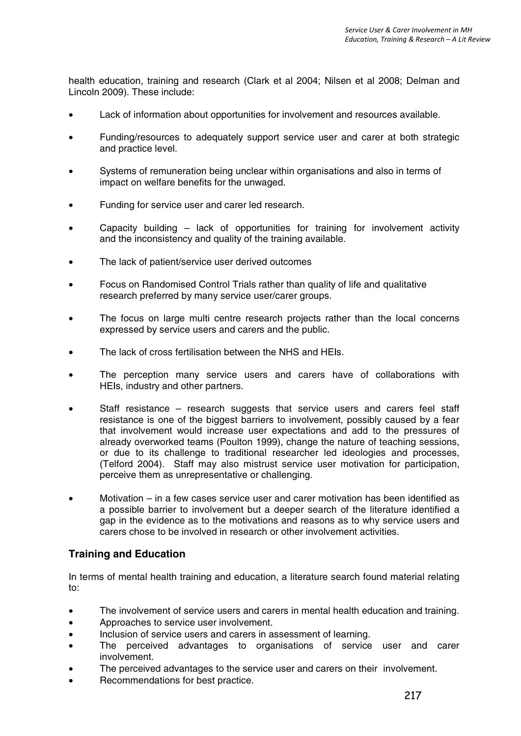health education, training and research (Clark et al 2004; Nilsen et al 2008; Delman and Lincoln 2009). These include:

- Lack of information about opportunities for involvement and resources available.
- Funding/resources to adequately support service user and carer at both strategic and practice level.
- Systems of remuneration being unclear within organisations and also in terms of impact on welfare benefits for the unwaged.
- Funding for service user and carer led research.
- Capacity building lack of opportunities for training for involvement activity and the inconsistency and quality of the training available.
- The lack of patient/service user derived outcomes
- Focus on Randomised Control Trials rather than quality of life and qualitative research preferred by many service user/carer groups.
- The focus on large multi centre research projects rather than the local concerns expressed by service users and carers and the public.
- The lack of cross fertilisation between the NHS and HEIs.
- The perception many service users and carers have of collaborations with HEIs, industry and other partners.
- Staff resistance research suggests that service users and carers feel staff resistance is one of the biggest barriers to involvement, possibly caused by a fear that involvement would increase user expectations and add to the pressures of already overworked teams (Poulton 1999), change the nature of teaching sessions, or due to its challenge to traditional researcher led ideologies and processes, (Telford 2004). Staff may also mistrust service user motivation for participation, perceive them as unrepresentative or challenging.
- Motivation in a few cases service user and carer motivation has been identified as a possible barrier to involvement but a deeper search of the literature identified a gap in the evidence as to the motivations and reasons as to why service users and carers chose to be involved in research or other involvement activities.

#### **Training and Education**

In terms of mental health training and education, a literature search found material relating to:

- The involvement of service users and carers in mental health education and training.
- Approaches to service user involvement.
- Inclusion of service users and carers in assessment of learning.
- The perceived advantages to organisations of service user and carer involvement.
- The perceived advantages to the service user and carers on their involvement.
- Recommendations for best practice.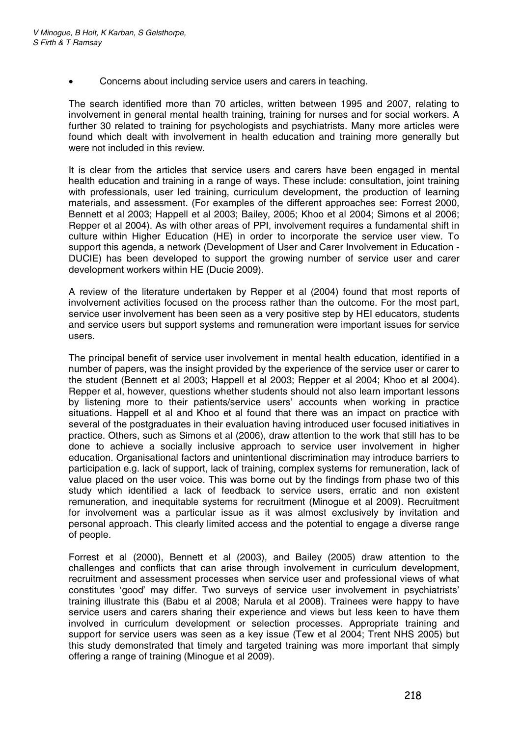• Concerns about including service users and carers in teaching.

The search identified more than 70 articles, written between 1995 and 2007, relating to involvement in general mental health training, training for nurses and for social workers. A further 30 related to training for psychologists and psychiatrists. Many more articles were found which dealt with involvement in health education and training more generally but were not included in this review.

It is clear from the articles that service users and carers have been engaged in mental health education and training in a range of ways. These include: consultation, joint training with professionals, user led training, curriculum development, the production of learning materials, and assessment. (For examples of the different approaches see: Forrest 2000, Bennett et al 2003; Happell et al 2003; Bailey, 2005; Khoo et al 2004; Simons et al 2006; Repper et al 2004). As with other areas of PPI, involvement requires a fundamental shift in culture within Higher Education (HE) in order to incorporate the service user view. To support this agenda, a network (Development of User and Carer Involvement in Education - DUCIE) has been developed to support the growing number of service user and carer development workers within HE (Ducie 2009).

A review of the literature undertaken by Repper et al (2004) found that most reports of involvement activities focused on the process rather than the outcome. For the most part, service user involvement has been seen as a very positive step by HEI educators, students and service users but support systems and remuneration were important issues for service users.

The principal benefit of service user involvement in mental health education, identified in a number of papers, was the insight provided by the experience of the service user or carer to the student (Bennett et al 2003; Happell et al 2003; Repper et al 2004; Khoo et al 2004). Repper et al, however, questions whether students should not also learn important lessons by listening more to their patients/service users' accounts when working in practice situations. Happell et al and Khoo et al found that there was an impact on practice with several of the postgraduates in their evaluation having introduced user focused initiatives in practice. Others, such as Simons et al (2006), draw attention to the work that still has to be done to achieve a socially inclusive approach to service user involvement in higher education. Organisational factors and unintentional discrimination may introduce barriers to participation e.g. lack of support, lack of training, complex systems for remuneration, lack of value placed on the user voice. This was borne out by the findings from phase two of this study which identified a lack of feedback to service users, erratic and non existent remuneration, and inequitable systems for recruitment (Minogue et al 2009). Recruitment for involvement was a particular issue as it was almost exclusively by invitation and personal approach. This clearly limited access and the potential to engage a diverse range of people.

Forrest et al (2000), Bennett et al (2003), and Bailey (2005) draw attention to the challenges and conflicts that can arise through involvement in curriculum development, recruitment and assessment processes when service user and professional views of what constitutes 'good' may differ. Two surveys of service user involvement in psychiatrists' training illustrate this (Babu et al 2008; Narula et al 2008). Trainees were happy to have service users and carers sharing their experience and views but less keen to have them involved in curriculum development or selection processes. Appropriate training and support for service users was seen as a key issue (Tew et al 2004; Trent NHS 2005) but this study demonstrated that timely and targeted training was more important that simply offering a range of training (Minogue et al 2009).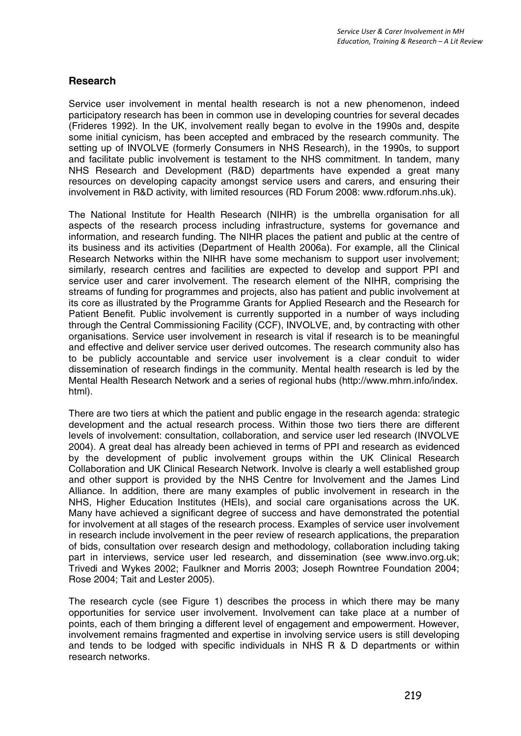### **Research**

Service user involvement in mental health research is not a new phenomenon, indeed participatory research has been in common use in developing countries for several decades (Frideres 1992). In the UK, involvement really began to evolve in the 1990s and, despite some initial cynicism, has been accepted and embraced by the research community. The setting up of INVOLVE (formerly Consumers in NHS Research), in the 1990s, to support and facilitate public involvement is testament to the NHS commitment. In tandem, many NHS Research and Development (R&D) departments have expended a great many resources on developing capacity amongst service users and carers, and ensuring their involvement in R&D activity, with limited resources (RD Forum 2008: www.rdforum.nhs.uk).

The National Institute for Health Research (NIHR) is the umbrella organisation for all aspects of the research process including infrastructure, systems for governance and information, and research funding. The NIHR places the patient and public at the centre of its business and its activities (Department of Health 2006a). For example, all the Clinical Research Networks within the NIHR have some mechanism to support user involvement; similarly, research centres and facilities are expected to develop and support PPI and service user and carer involvement. The research element of the NIHR, comprising the streams of funding for programmes and projects, also has patient and public involvement at its core as illustrated by the Programme Grants for Applied Research and the Research for Patient Benefit. Public involvement is currently supported in a number of ways including through the Central Commissioning Facility (CCF), INVOLVE, and, by contracting with other organisations. Service user involvement in research is vital if research is to be meaningful and effective and deliver service user derived outcomes. The research community also has to be publicly accountable and service user involvement is a clear conduit to wider dissemination of research findings in the community. Mental health research is led by the Mental Health Research Network and a series of regional hubs (http://www.mhrn.info/index. html).

There are two tiers at which the patient and public engage in the research agenda: strategic development and the actual research process. Within those two tiers there are different levels of involvement: consultation, collaboration, and service user led research (INVOLVE 2004). A great deal has already been achieved in terms of PPI and research as evidenced by the development of public involvement groups within the UK Clinical Research Collaboration and UK Clinical Research Network. Involve is clearly a well established group and other support is provided by the NHS Centre for Involvement and the James Lind Alliance. In addition, there are many examples of public involvement in research in the NHS, Higher Education Institutes (HEIs), and social care organisations across the UK. Many have achieved a significant degree of success and have demonstrated the potential for involvement at all stages of the research process. Examples of service user involvement in research include involvement in the peer review of research applications, the preparation of bids, consultation over research design and methodology, collaboration including taking part in interviews, service user led research, and dissemination (see www.invo.org.uk; Trivedi and Wykes 2002; Faulkner and Morris 2003; Joseph Rowntree Foundation 2004; Rose 2004; Tait and Lester 2005).

The research cycle (see Figure 1) describes the process in which there may be many opportunities for service user involvement. Involvement can take place at a number of points, each of them bringing a different level of engagement and empowerment. However, involvement remains fragmented and expertise in involving service users is still developing and tends to be lodged with specific individuals in NHS R & D departments or within research networks.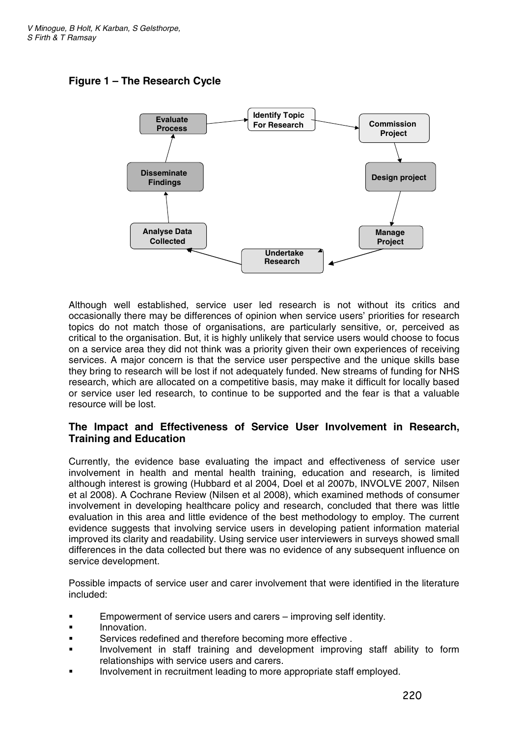# **Figure 1 – The Research Cycle**



Although well established, service user led research is not without its critics and occasionally there may be differences of opinion when service users' priorities for research topics do not match those of organisations, are particularly sensitive, or, perceived as critical to the organisation. But, it is highly unlikely that service users would choose to focus on a service area they did not think was a priority given their own experiences of receiving services. A major concern is that the service user perspective and the unique skills base they bring to research will be lost if not adequately funded. New streams of funding for NHS research, which are allocated on a competitive basis, may make it difficult for locally based or service user led research, to continue to be supported and the fear is that a valuable resource will be lost.

# **The Impact and Effectiveness of Service User Involvement in Research, Training and Education**

Currently, the evidence base evaluating the impact and effectiveness of service user involvement in health and mental health training, education and research, is limited although interest is growing (Hubbard et al 2004, Doel et al 2007b, INVOLVE 2007, Nilsen et al 2008). A Cochrane Review (Nilsen et al 2008), which examined methods of consumer involvement in developing healthcare policy and research, concluded that there was little evaluation in this area and little evidence of the best methodology to employ. The current evidence suggests that involving service users in developing patient information material improved its clarity and readability. Using service user interviewers in surveys showed small differences in the data collected but there was no evidence of any subsequent influence on service development.

Possible impacts of service user and carer involvement that were identified in the literature included:

- **Empowerment of service users and carers improving self identity.**
- Innovation.
- Services redefined and therefore becoming more effective.
- ! Involvement in staff training and development improving staff ability to form relationships with service users and carers.
- ! Involvement in recruitment leading to more appropriate staff employed.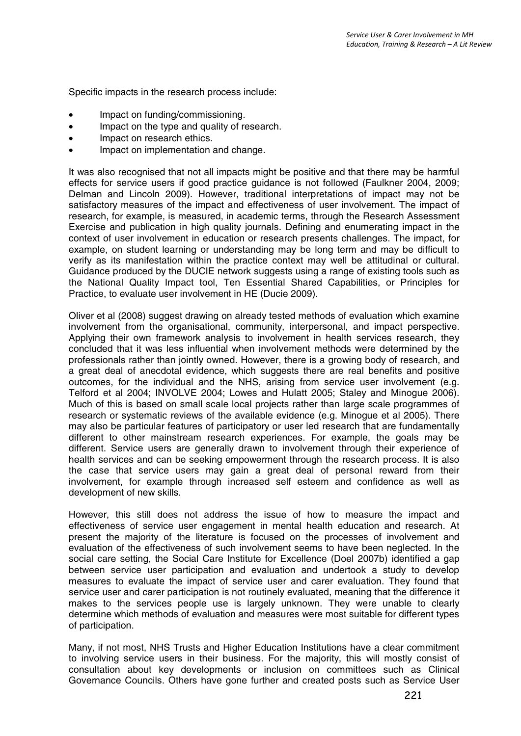Specific impacts in the research process include:

- Impact on funding/commissioning.
- Impact on the type and quality of research.
- Impact on research ethics.
- Impact on implementation and change.

It was also recognised that not all impacts might be positive and that there may be harmful effects for service users if good practice guidance is not followed (Faulkner 2004, 2009; Delman and Lincoln 2009). However, traditional interpretations of impact may not be satisfactory measures of the impact and effectiveness of user involvement. The impact of research, for example, is measured, in academic terms, through the Research Assessment Exercise and publication in high quality journals. Defining and enumerating impact in the context of user involvement in education or research presents challenges. The impact, for example, on student learning or understanding may be long term and may be difficult to verify as its manifestation within the practice context may well be attitudinal or cultural. Guidance produced by the DUCIE network suggests using a range of existing tools such as the National Quality Impact tool, Ten Essential Shared Capabilities, or Principles for Practice, to evaluate user involvement in HE (Ducie 2009).

Oliver et al (2008) suggest drawing on already tested methods of evaluation which examine involvement from the organisational, community, interpersonal, and impact perspective. Applying their own framework analysis to involvement in health services research, they concluded that it was less influential when involvement methods were determined by the professionals rather than jointly owned. However, there is a growing body of research, and a great deal of anecdotal evidence, which suggests there are real benefits and positive outcomes, for the individual and the NHS, arising from service user involvement (e.g. Telford et al 2004; INVOLVE 2004; Lowes and Hulatt 2005; Staley and Minogue 2006). Much of this is based on small scale local projects rather than large scale programmes of research or systematic reviews of the available evidence (e.g. Minogue et al 2005). There may also be particular features of participatory or user led research that are fundamentally different to other mainstream research experiences. For example, the goals may be different. Service users are generally drawn to involvement through their experience of health services and can be seeking empowerment through the research process. It is also the case that service users may gain a great deal of personal reward from their involvement, for example through increased self esteem and confidence as well as development of new skills.

However, this still does not address the issue of how to measure the impact and effectiveness of service user engagement in mental health education and research. At present the majority of the literature is focused on the processes of involvement and evaluation of the effectiveness of such involvement seems to have been neglected. In the social care setting, the Social Care Institute for Excellence (Doel 2007b) identified a gap between service user participation and evaluation and undertook a study to develop measures to evaluate the impact of service user and carer evaluation. They found that service user and carer participation is not routinely evaluated, meaning that the difference it makes to the services people use is largely unknown. They were unable to clearly determine which methods of evaluation and measures were most suitable for different types of participation.

Many, if not most, NHS Trusts and Higher Education Institutions have a clear commitment to involving service users in their business. For the majority, this will mostly consist of consultation about key developments or inclusion on committees such as Clinical Governance Councils. Others have gone further and created posts such as Service User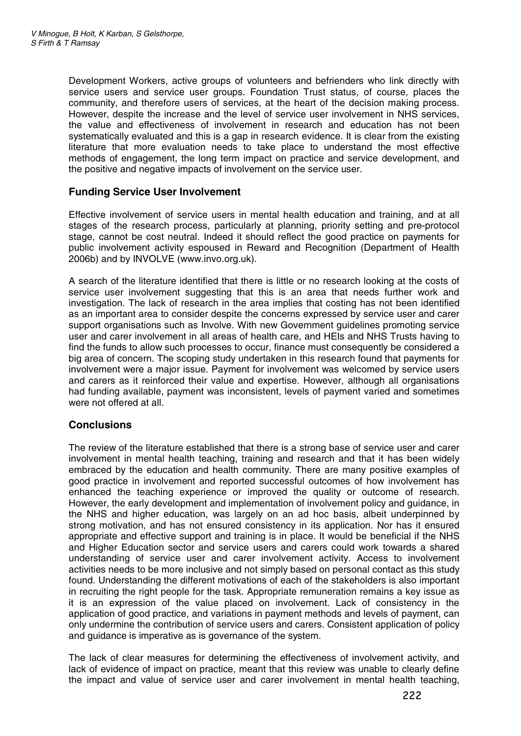Development Workers, active groups of volunteers and befrienders who link directly with service users and service user groups. Foundation Trust status, of course, places the community, and therefore users of services, at the heart of the decision making process. However, despite the increase and the level of service user involvement in NHS services, the value and effectiveness of involvement in research and education has not been systematically evaluated and this is a gap in research evidence. It is clear from the existing literature that more evaluation needs to take place to understand the most effective methods of engagement, the long term impact on practice and service development, and the positive and negative impacts of involvement on the service user.

# **Funding Service User Involvement**

Effective involvement of service users in mental health education and training, and at all stages of the research process, particularly at planning, priority setting and pre-protocol stage, cannot be cost neutral. Indeed it should reflect the good practice on payments for public involvement activity espoused in Reward and Recognition (Department of Health 2006b) and by INVOLVE (www.invo.org.uk).

A search of the literature identified that there is little or no research looking at the costs of service user involvement suggesting that this is an area that needs further work and investigation. The lack of research in the area implies that costing has not been identified as an important area to consider despite the concerns expressed by service user and carer support organisations such as Involve. With new Government guidelines promoting service user and carer involvement in all areas of health care, and HEIs and NHS Trusts having to find the funds to allow such processes to occur, finance must consequently be considered a big area of concern. The scoping study undertaken in this research found that payments for involvement were a major issue. Payment for involvement was welcomed by service users and carers as it reinforced their value and expertise. However, although all organisations had funding available, payment was inconsistent, levels of payment varied and sometimes were not offered at all.

# **Conclusions**

The review of the literature established that there is a strong base of service user and carer involvement in mental health teaching, training and research and that it has been widely embraced by the education and health community. There are many positive examples of good practice in involvement and reported successful outcomes of how involvement has enhanced the teaching experience or improved the quality or outcome of research. However, the early development and implementation of involvement policy and guidance, in the NHS and higher education, was largely on an ad hoc basis, albeit underpinned by strong motivation, and has not ensured consistency in its application. Nor has it ensured appropriate and effective support and training is in place. It would be beneficial if the NHS and Higher Education sector and service users and carers could work towards a shared understanding of service user and carer involvement activity. Access to involvement activities needs to be more inclusive and not simply based on personal contact as this study found. Understanding the different motivations of each of the stakeholders is also important in recruiting the right people for the task. Appropriate remuneration remains a key issue as it is an expression of the value placed on involvement. Lack of consistency in the application of good practice, and variations in payment methods and levels of payment, can only undermine the contribution of service users and carers. Consistent application of policy and guidance is imperative as is governance of the system.

The lack of clear measures for determining the effectiveness of involvement activity, and lack of evidence of impact on practice, meant that this review was unable to clearly define the impact and value of service user and carer involvement in mental health teaching,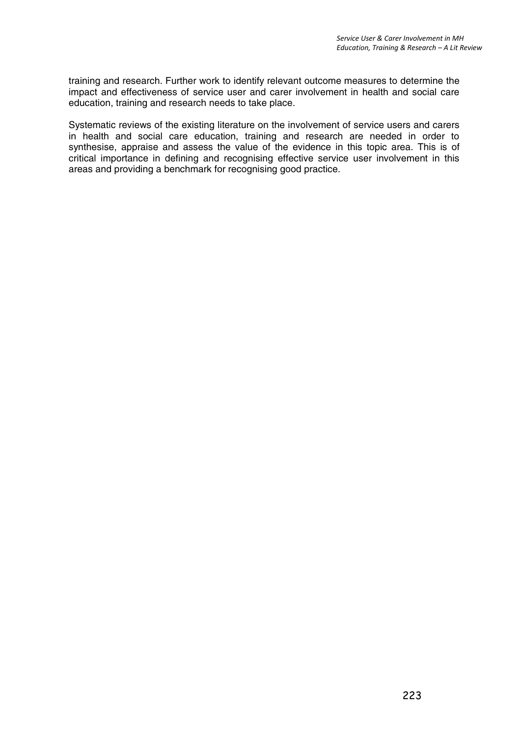training and research. Further work to identify relevant outcome measures to determine the impact and effectiveness of service user and carer involvement in health and social care education, training and research needs to take place.

Systematic reviews of the existing literature on the involvement of service users and carers in health and social care education, training and research are needed in order to synthesise, appraise and assess the value of the evidence in this topic area. This is of critical importance in defining and recognising effective service user involvement in this areas and providing a benchmark for recognising good practice.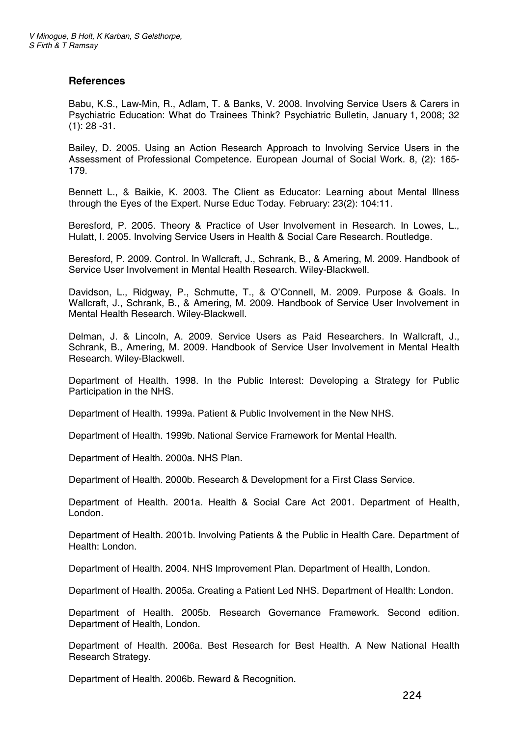#### **References**

Babu, K.S., Law-Min, R., Adlam, T. & Banks, V. 2008. Involving Service Users & Carers in Psychiatric Education: What do Trainees Think? Psychiatric Bulletin, January 1, 2008; 32  $(1): 28 - 31.$ 

Bailey, D. 2005. Using an Action Research Approach to Involving Service Users in the Assessment of Professional Competence. European Journal of Social Work. 8, (2): 165- 179.

Bennett L., & Baikie, K. 2003. The Client as Educator: Learning about Mental Illness through the Eyes of the Expert. Nurse Educ Today. February: 23(2): 104:11.

Beresford, P. 2005. Theory & Practice of User Involvement in Research. In Lowes, L., Hulatt, I. 2005. Involving Service Users in Health & Social Care Research. Routledge.

Beresford, P. 2009. Control. In Wallcraft, J., Schrank, B., & Amering, M. 2009. Handbook of Service User Involvement in Mental Health Research. Wiley-Blackwell.

Davidson, L., Ridgway, P., Schmutte, T., & O'Connell, M. 2009. Purpose & Goals. In Wallcraft, J., Schrank, B., & Amering, M. 2009. Handbook of Service User Involvement in Mental Health Research. Wiley-Blackwell.

Delman, J. & Lincoln, A. 2009. Service Users as Paid Researchers. In Wallcraft, J., Schrank, B., Amering, M. 2009. Handbook of Service User Involvement in Mental Health Research. Wiley-Blackwell.

Department of Health. 1998. In the Public Interest: Developing a Strategy for Public Participation in the NHS.

Department of Health. 1999a. Patient & Public Involvement in the New NHS.

Department of Health. 1999b. National Service Framework for Mental Health.

Department of Health. 2000a. NHS Plan.

Department of Health. 2000b. Research & Development for a First Class Service.

Department of Health. 2001a. Health & Social Care Act 2001. Department of Health, London.

Department of Health. 2001b. Involving Patients & the Public in Health Care. Department of Health: London.

Department of Health. 2004. NHS Improvement Plan. Department of Health, London.

Department of Health. 2005a. Creating a Patient Led NHS. Department of Health: London.

Department of Health. 2005b. Research Governance Framework. Second edition. Department of Health, London.

Department of Health. 2006a. Best Research for Best Health. A New National Health Research Strategy.

Department of Health. 2006b. Reward & Recognition.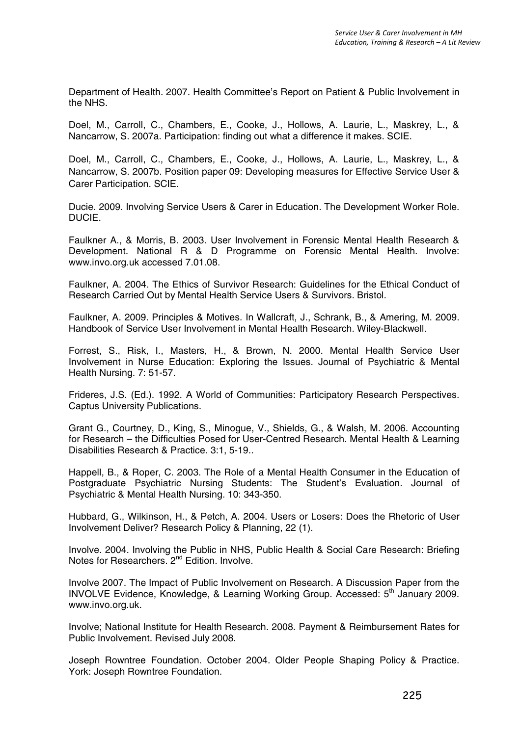Department of Health. 2007. Health Committee's Report on Patient & Public Involvement in the NHS.

Doel, M., Carroll, C., Chambers, E., Cooke, J., Hollows, A. Laurie, L., Maskrey, L., & Nancarrow, S. 2007a. Participation: finding out what a difference it makes. SCIE.

Doel, M., Carroll, C., Chambers, E., Cooke, J., Hollows, A. Laurie, L., Maskrey, L., & Nancarrow, S. 2007b. Position paper 09: Developing measures for Effective Service User & Carer Participation. SCIE.

Ducie. 2009. Involving Service Users & Carer in Education. The Development Worker Role. DUCIE.

Faulkner A., & Morris, B. 2003. User Involvement in Forensic Mental Health Research & Development. National R & D Programme on Forensic Mental Health. Involve: www.invo.org.uk accessed 7.01.08.

Faulkner, A. 2004. The Ethics of Survivor Research: Guidelines for the Ethical Conduct of Research Carried Out by Mental Health Service Users & Survivors. Bristol.

Faulkner, A. 2009. Principles & Motives. In Wallcraft, J., Schrank, B., & Amering, M. 2009. Handbook of Service User Involvement in Mental Health Research. Wiley-Blackwell.

Forrest, S., Risk, I., Masters, H., & Brown, N. 2000. Mental Health Service User Involvement in Nurse Education: Exploring the Issues. Journal of Psychiatric & Mental Health Nursing. 7: 51-57.

Frideres, J.S. (Ed.). 1992. A World of Communities: Participatory Research Perspectives. Captus University Publications.

Grant G., Courtney, D., King, S., Minogue, V., Shields, G., & Walsh, M. 2006. Accounting for Research – the Difficulties Posed for User-Centred Research. Mental Health & Learning Disabilities Research & Practice. 3:1, 5-19..

Happell, B., & Roper, C. 2003. The Role of a Mental Health Consumer in the Education of Postgraduate Psychiatric Nursing Students: The Student's Evaluation. Journal of Psychiatric & Mental Health Nursing. 10: 343-350.

Hubbard, G., Wilkinson, H., & Petch, A. 2004. Users or Losers: Does the Rhetoric of User Involvement Deliver? Research Policy & Planning, 22 (1).

Involve. 2004. Involving the Public in NHS, Public Health & Social Care Research: Briefing Notes for Researchers. 2<sup>nd</sup> Edition. Involve.

Involve 2007. The Impact of Public Involvement on Research. A Discussion Paper from the INVOLVE Evidence. Knowledge, & Learning Working Group. Accessed: 5<sup>th</sup> January 2009. www.invo.org.uk.

Involve; National Institute for Health Research. 2008. Payment & Reimbursement Rates for Public Involvement. Revised July 2008.

Joseph Rowntree Foundation. October 2004. Older People Shaping Policy & Practice. York: Joseph Rowntree Foundation.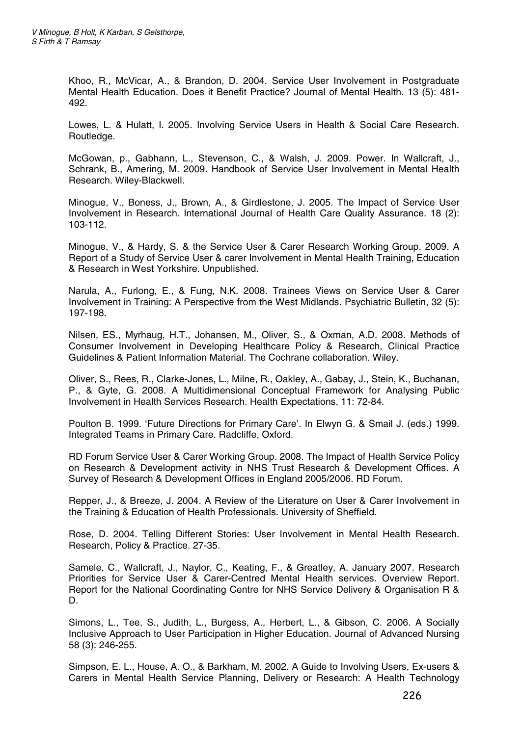Khoo, R., McVicar, A., & Brandon, D. 2004. Service User Involvement in Postgraduate Mental Health Education. Does it Benefit Practice? Journal of Mental Health. 13 (5): 481- 492.

Lowes, L. & Hulatt, I. 2005. Involving Service Users in Health & Social Care Research. Routledge.

McGowan, p., Gabhann, L., Stevenson, C., & Walsh, J. 2009. Power. In Wallcraft, J., Schrank, B., Amering, M. 2009. Handbook of Service User Involvement in Mental Health Research. Wiley-Blackwell.

Minogue, V., Boness, J., Brown, A., & Girdlestone, J. 2005. The Impact of Service User Involvement in Research. International Journal of Health Care Quality Assurance. 18 (2): 103-112.

Minogue, V., & Hardy, S. & the Service User & Carer Research Working Group. 2009. A Report of a Study of Service User & carer Involvement in Mental Health Training, Education & Research in West Yorkshire. Unpublished.

Narula, A., Furlong, E., & Fung, N.K. 2008. Trainees Views on Service User & Carer Involvement in Training: A Perspective from the West Midlands. Psychiatric Bulletin, 32 (5): 197-198.

Nilsen, ES., Myrhaug, H.T., Johansen, M., Oliver, S., & Oxman, A.D. 2008. Methods of Consumer Involvement in Developing Healthcare Policy & Research, Clinical Practice Guidelines & Patient Information Material. The Cochrane collaboration. Wiley.

Oliver, S., Rees, R., Clarke-Jones, L., Milne, R., Oakley, A., Gabay, J., Stein, K., Buchanan, P.,&Gyte, G. 2008. A Multidimensional Conceptual Framework for Analysing Public Involvement in Health Services Research. Health Expectations, 11: 72-84.

Poulton B. 1999. 'Future Directions for Primary Care'. In Elwyn G. & Smail J. (eds.) 1999. Integrated Teams in Primary Care. Radcliffe, Oxford.

RD Forum Service User & Carer Working Group. 2008. The Impact of Health Service Policy on Research & Development activity in NHS Trust Research & Development Offices. A Survey of Research & Development Offices in England 2005/2006. RD Forum.

Repper, J., & Breeze, J. 2004. A Review of the Literature on User & Carer Involvement in the Training & Education of Health Professionals. University of Sheffield.

Rose, D. 2004. Telling Different Stories: User Involvement in Mental Health Research. Research, Policy & Practice. 27-35.

Samele, C., Wallcraft, J., Naylor, C., Keating, F., & Greatley, A. January 2007. Research Priorities for Service User & Carer-Centred Mental Health services. Overview Report. Report for the National Coordinating Centre for NHS Service Delivery & Organisation R & D.

Simons, L., Tee, S., Judith, L., Burgess, A., Herbert, L., & Gibson, C. 2006. A Socially Inclusive Approach to User Participation in Higher Education. Journal of Advanced Nursing 58 (3): 246-255.

Simpson, E. L., House, A. O., & Barkham, M. 2002. A Guide to Involving Users, Ex-users & Carers in Mental Health Service Planning, Delivery or Research: A Health Technology